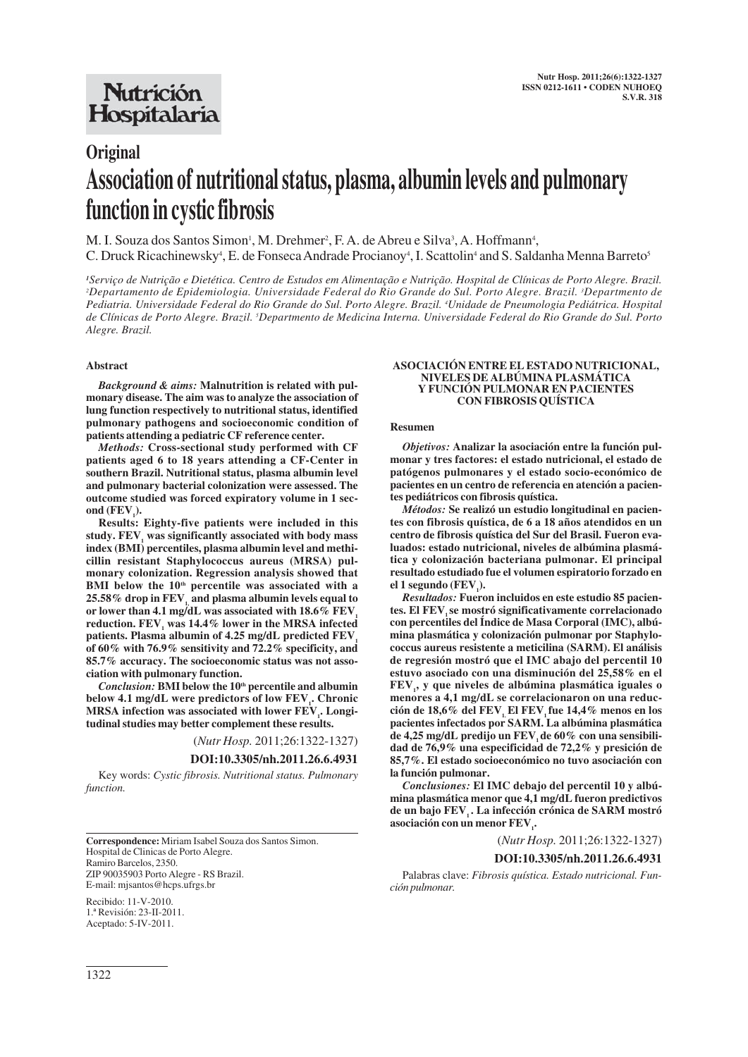## **Nutrición** Hospitalaria

# **Original Association of nutritional status, plasma, albumin levels and pulmonary function in cystic fibrosis**

M. I. Souza dos Santos Simon<sup>1</sup>, M. Drehmer<sup>2</sup>, F. A. de Abreu e Silva<sup>3</sup>, A. Hoffmann<sup>4</sup>, C. Druck Ricachinewsky<sup>4</sup>, E. de Fonseca Andrade Procianoy<sup>4</sup>, I. Scattolin<sup>4</sup> and S. Saldanha Menna Barreto<sup>5</sup>

*1 Serviço de Nutrição e Dietética. Centro de Estudos em Alimentação e Nutrição. Hospital de Clínicas de Porto Alegre. Brazil. 2 Departamento de Epidemiologia. Universidade Federal do Rio Grande do Sul. Porto Alegre. Brazil. <sup>3</sup> Departmento de Pediatria. Universidade Federal do Rio Grande do Sul. Porto Alegre. Brazil. 4 Unidade de Pneumologia Pediátrica. Hospital de Clínicas de Porto Alegre. Brazil. 5 Departmento de Medicina Interna. Universidade Federal do Rio Grande do Sul. Porto Alegre. Brazil.*

#### **Abstract**

*Background & aims:* **Malnutrition is related with pulmonary disease. The aim was to analyze the association of lung function respectively to nutritional status, identified pulmonary pathogens and socioeconomic condition of patients attending a pediatric CF reference center.**

*Methods:* **Cross-sectional study performed with CF patients aged 6 to 18 years attending a CF-Center in southern Brazil. Nutritional status, plasma albumin level and pulmonary bacterial colonization were assessed. The outcome studied was forced expiratory volume in 1 sec**ond  $(FEV_{1})$ .

**Results: Eighty-five patients were included in this** study. FEV, was significantly associated with body mass **index (BMI) percentiles, plasma albumin level and methicillin resistant Staphylococcus aureus (MRSA) pulmonary colonization. Regression analysis showed that** BMI below the 10<sup>th</sup> percentile was associated with a **25.58% drop in FEV1, and plasma albumin levels equal to** or lower than 4.1 mg/dL was associated with  $18.6\%$  FEV reduction. FEV<sub>,</sub> was 14.4% lower in the MRSA infected patients. Plasma albumin of 4.25 mg/dL predicted FEV<sub>1</sub> **of 60% with 76.9% sensitivity and 72.2% specificity, and 85.7% accuracy. The socioeconomic status was not association with pulmonary function.**

*Conclusion:* **BMI below the 10th percentile and albumin** below 4.1 mg/dL were predictors of low FEV<sub>1</sub>. Chronic **MRSA** infection was associated with lower  $\text{FEV}_1$ . Longi**tudinal studies may better complement these results.**

(*Nutr Hosp.* 2011;26:1322-1327)

#### **DOI:10.3305/nh.2011.26.6.4931**

Key words: *Cystic fibrosis. Nutritional status. Pulmonary function.*

**Correspondence:** Miriam Isabel Souza dos Santos Simon. Hospital de Clinicas de Porto Alegre. Ramiro Barcelos, 2350. ZIP 90035903 Porto Alegre - RS Brazil.

E-mail: mjsantos@hcps.ufrgs.br Recibido: 11-V-2010. 1.ª Revisión: 23-II-2011. Aceptado: 5-IV-2011.

#### **ASOCIACIÓN ENTRE EL ESTADO NUTRICIONAL, NIVELES DE ALBÚMINA PLASMÁTICA Y FUNCIÓN PULMONAR EN PACIENTES CON FIBROSIS QUÍSTICA**

#### **Resumen**

*Objetivos:* **Analizar la asociación entre la función pulmonar y tres factores: el estado nutricional, el estado de patógenos pulmonares y el estado socio-económico de pacientes en un centro de referencia en atención a pacientes pediátricos con fibrosis quística.**

*Métodos:* **Se realizó un estudio longitudinal en pacientes con fibrosis quística, de 6 a 18 años atendidos en un centro de fibrosis quística del Sur del Brasil. Fueron evaluados: estado nutricional, niveles de albúmina plasmática y colonización bacteriana pulmonar. El principal resultado estudiado fue el volumen espiratorio forzado en**  $el 1$  **segundo** ( $FEV<sub>1</sub>$ ).

*Resultados:* **Fueron incluidos en este estudio 85 pacien**tes. El FEV se mostró significativamente correlacionado **con percentiles del Índice de Masa Corporal (IMC), albúmina plasmática y colonización pulmonar por Staphylococcus aureus resistente a meticilina (SARM). El análisis de regresión mostró que el IMC abajo del percentil 10 estuvo asociado con una disminución del 25,58% en el FEV1 , y que niveles de albúmina plasmática iguales o menores a 4,1 mg/dL se correlacionaron on una reduc**ción de 18,6% del FEV<sub>,</sub> El FEV<sub>,</sub> fue 14,4% menos en los **pacientes infectados por SARM. La albúmina plasmática** de 4,25 mg/dL predijo un FEV, de 60% con una sensibili**dad de 76,9% una especificidad de 72,2% y presición de 85,7%. El estado socioeconómico no tuvo asociación con la función pulmonar.**

*Conclusiones:* **El IMC debajo del percentil 10 y albúmina plasmática menor que 4,1 mg/dL fueron predictivos** de un bajo FEV<sub>1</sub>. La infección crónica de SARM mostró asociación con un menor FEV<sub>1</sub>.

(*Nutr Hosp.* 2011;26:1322-1327)

#### **DOI:10.3305/nh.2011.26.6.4931**

Palabras clave: *Fibrosis quística. Estado nutricional. Función pulmonar.*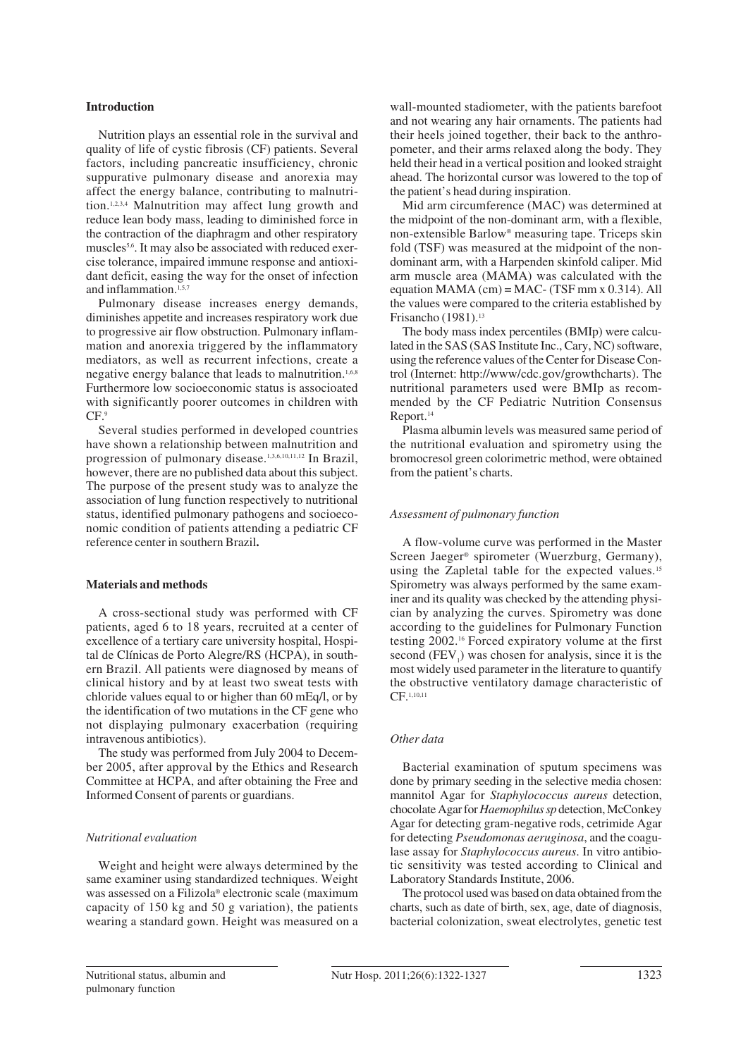## **Introduction**

Nutrition plays an essential role in the survival and quality of life of cystic fibrosis (CF) patients. Several factors, including pancreatic insufficiency, chronic suppurative pulmonary disease and anorexia may affect the energy balance, contributing to malnutrition.1,2,3,4 Malnutrition may affect lung growth and reduce lean body mass, leading to diminished force in the contraction of the diaphragm and other respiratory muscles5,6. It may also be associated with reduced exercise tolerance, impaired immune response and antioxidant deficit, easing the way for the onset of infection and inflammation.<sup>1,5,7</sup>

Pulmonary disease increases energy demands, diminishes appetite and increases respiratory work due to progressive air flow obstruction. Pulmonary inflammation and anorexia triggered by the inflammatory mediators, as well as recurrent infections, create a negative energy balance that leads to malnutrition.<sup>1,6,8</sup> Furthermore low socioeconomic status is associoated with significantly poorer outcomes in children with CF.<sup>9</sup>

Several studies performed in developed countries have shown a relationship between malnutrition and progression of pulmonary disease.1,3,6,10,11,12 In Brazil, however, there are no published data about this subject. The purpose of the present study was to analyze the association of lung function respectively to nutritional status, identified pulmonary pathogens and socioeconomic condition of patients attending a pediatric CF reference center in southern Brazil**.**

## **Materials and methods**

A cross-sectional study was performed with CF patients, aged 6 to 18 years, recruited at a center of excellence of a tertiary care university hospital, Hospital de Clínicas de Porto Alegre/RS (HCPA), in southern Brazil. All patients were diagnosed by means of clinical history and by at least two sweat tests with chloride values equal to or higher than 60 mEq/l, or by the identification of two mutations in the CF gene who not displaying pulmonary exacerbation (requiring intravenous antibiotics).

The study was performed from July 2004 to December 2005, after approval by the Ethics and Research Committee at HCPA, and after obtaining the Free and Informed Consent of parents or guardians.

#### *Nutritional evaluation*

Weight and height were always determined by the same examiner using standardized techniques. Weight was assessed on a Filizola® electronic scale (maximum capacity of 150 kg and 50 g variation), the patients wearing a standard gown. Height was measured on a wall-mounted stadiometer, with the patients barefoot and not wearing any hair ornaments. The patients had their heels joined together, their back to the anthropometer, and their arms relaxed along the body. They held their head in a vertical position and looked straight ahead. The horizontal cursor was lowered to the top of the patient's head during inspiration.

Mid arm circumference (MAC) was determined at the midpoint of the non-dominant arm, with a flexible, non-extensible Barlow® measuring tape. Triceps skin fold (TSF) was measured at the midpoint of the nondominant arm, with a Harpenden skinfold caliper. Mid arm muscle area (MAMA) was calculated with the equation MAMA (cm) = MAC- (TSF mm x  $0.314$ ). All the values were compared to the criteria established by Frisancho (1981).<sup>13</sup>

The body mass index percentiles (BMIp) were calculated in the SAS (SAS Institute Inc., Cary, NC) software, using the reference values of the Center for Disease Control (Internet: http://www/cdc.gov/growthcharts). The nutritional parameters used were BMIp as recommended by the CF Pediatric Nutrition Consensus Report.14

Plasma albumin levels was measured same period of the nutritional evaluation and spirometry using the bromocresol green colorimetric method, were obtained from the patient's charts.

## *Assessment of pulmonary function*

A flow-volume curve was performed in the Master Screen Jaeger® spirometer (Wuerzburg, Germany), using the Zapletal table for the expected values.<sup>15</sup> Spirometry was always performed by the same examiner and its quality was checked by the attending physician by analyzing the curves. Spirometry was done according to the guidelines for Pulmonary Function testing 2002.16 Forced expiratory volume at the first second  $(FEV_1)$  was chosen for analysis, since it is the most widely used parameter in the literature to quantify the obstructive ventilatory damage characteristic of CF.1,10,11

## *Other data*

Bacterial examination of sputum specimens was done by primary seeding in the selective media chosen: mannitol Agar for *Staphylococcus aureus* detection, chocolate Agar for *Haemophilus sp* detection, McConkey Agar for detecting gram-negative rods, cetrimide Agar for detecting *Pseudomonas aeruginosa*, and the coagulase assay for *Staphylococcus aureus*. In vitro antibiotic sensitivity was tested according to Clinical and Laboratory Standards Institute, 2006.

The protocol used was based on data obtained from the charts, such as date of birth, sex, age, date of diagnosis, bacterial colonization, sweat electrolytes, genetic test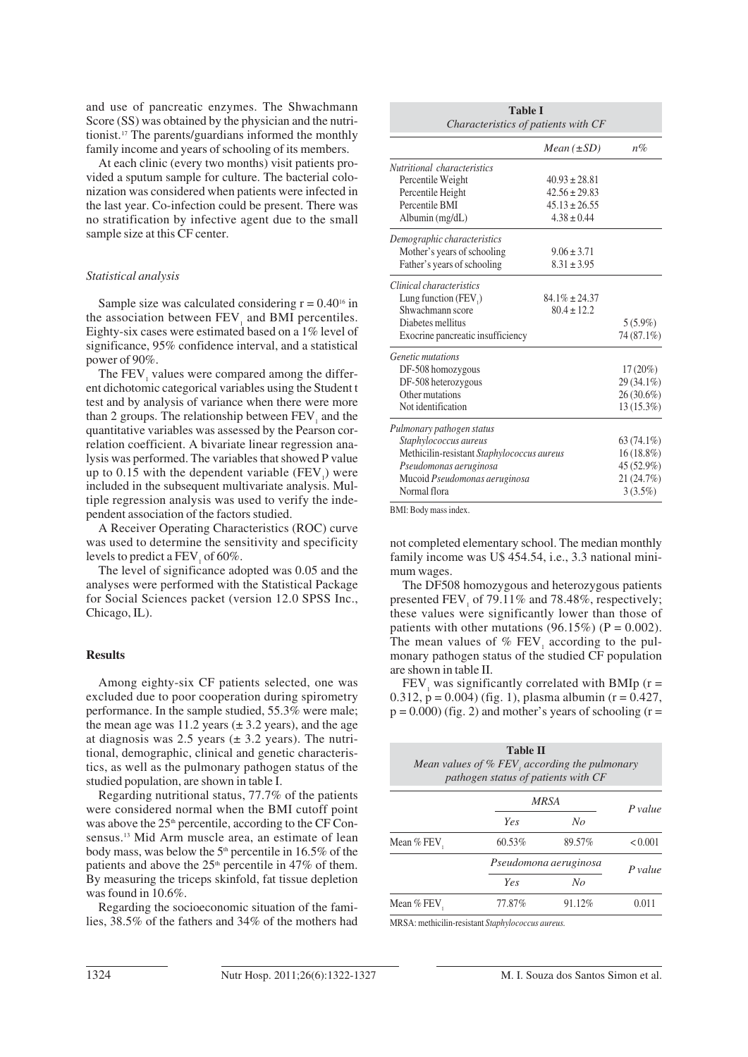and use of pancreatic enzymes. The Shwachmann Score (SS) was obtained by the physician and the nutritionist.17 The parents/guardians informed the monthly family income and years of schooling of its members.

At each clinic (every two months) visit patients provided a sputum sample for culture. The bacterial colonization was considered when patients were infected in the last year. Co-infection could be present. There was no stratification by infective agent due to the small sample size at this CF center.

## *Statistical analysis*

Sample size was calculated considering  $r = 0.40^{16}$  in the association between FEV<sub>1</sub> and BMI percentiles. Eighty-six cases were estimated based on a 1% level of significance, 95% confidence interval, and a statistical power of 90%.

The  $FEV<sub>1</sub>$  values were compared among the different dichotomic categorical variables using the Student t test and by analysis of variance when there were more than 2 groups. The relationship between FEV<sub>1</sub> and the quantitative variables was assessed by the Pearson correlation coefficient. A bivariate linear regression analysis was performed. The variables that showed P value up to 0.15 with the dependent variable  $(FEV_1)$  were included in the subsequent multivariate analysis. Multiple regression analysis was used to verify the independent association of the factors studied.

A Receiver Operating Characteristics (ROC) curve was used to determine the sensitivity and specificity levels to predict a FEV<sub>1</sub> of  $60\%$ .

The level of significance adopted was 0.05 and the analyses were performed with the Statistical Package for Social Sciences packet (version 12.0 SPSS Inc., Chicago, IL).

## **Results**

Among eighty-six CF patients selected, one was excluded due to poor cooperation during spirometry performance. In the sample studied, 55.3% were male; the mean age was 11.2 years  $(\pm 3.2 \text{ years})$ , and the age at diagnosis was 2.5 years  $(\pm 3.2 \text{ years})$ . The nutritional, demographic, clinical and genetic characteristics, as well as the pulmonary pathogen status of the studied population, are shown in table I.

Regarding nutritional status, 77.7% of the patients were considered normal when the BMI cutoff point was above the  $25<sup>th</sup>$  percentile, according to the CF Consensus.13 Mid Arm muscle area, an estimate of lean body mass, was below the  $5<sup>th</sup>$  percentile in 16.5% of the patients and above the  $25<sup>th</sup>$  percentile in 47% of them. By measuring the triceps skinfold, fat tissue depletion was found in 10.6%.

Regarding the socioeconomic situation of the families, 38.5% of the fathers and 34% of the mothers had

| <b>Table I</b><br>Characteristics of patients with CF |                    |              |  |  |
|-------------------------------------------------------|--------------------|--------------|--|--|
|                                                       | $Mean(\pm SD)$     | $n\%$        |  |  |
| Nutritional characteristics                           |                    |              |  |  |
| Percentile Weight                                     | $40.93 \pm 28.81$  |              |  |  |
| Percentile Height                                     | $42.56 \pm 29.83$  |              |  |  |
| Percentile BMI                                        | $45.13 \pm 26.55$  |              |  |  |
| Albumin $(mg/dL)$                                     | $4.38 \pm 0.44$    |              |  |  |
| Demographic characteristics                           |                    |              |  |  |
| Mother's years of schooling                           | $9.06 \pm 3.71$    |              |  |  |
| Father's years of schooling                           | $8.31 \pm 3.95$    |              |  |  |
| Clinical characteristics                              |                    |              |  |  |
| Lung function (FEV)                                   | $84.1\% \pm 24.37$ |              |  |  |
| Shwachmann score                                      | $80.4 \pm 12.2$    |              |  |  |
| Diabetes mellitus                                     |                    | $5(5.9\%)$   |  |  |
| Exocrine pancreatic insufficiency                     |                    | 74 (87.1%)   |  |  |
| <i>Genetic mutations</i>                              |                    |              |  |  |
| DF-508 homozygous                                     |                    | $17(20\%)$   |  |  |
| DF-508 heterozygous                                   |                    | 29 (34.1%)   |  |  |
| Other mutations                                       |                    | $26(30.6\%)$ |  |  |
| Not identification                                    |                    | 13 (15.3%)   |  |  |
| Pulmonary pathogen status                             |                    |              |  |  |
| Staphylococcus aureus                                 |                    | $63(74.1\%)$ |  |  |
| Methicilin-resistant Staphylococcus aureus            | $16(18.8\%)$       |              |  |  |
| Pseudomonas aeruginosa                                |                    | 45 (52.9%)   |  |  |
| Mucoid Pseudomonas aeruginosa                         |                    | 21 (24.7%)   |  |  |
| Normal flora                                          |                    | $3(3.5\%)$   |  |  |

BMI: Body mass index.

not completed elementary school. The median monthly family income was U\$ 454.54, i.e., 3.3 national minimum wages.

The DF508 homozygous and heterozygous patients presented FEV of 79.11% and 78.48%, respectively; these values were significantly lower than those of patients with other mutations (96.15%) ( $P = 0.002$ ). The mean values of  $%$  FEV<sub>1</sub> according to the pulmonary pathogen status of the studied CF population are shown in table II.

FEV, was significantly correlated with BMIp ( $r =$ 0.312,  $p = 0.004$ ) (fig. 1), plasma albumin (r = 0.427,  $p = 0.000$ ) (fig. 2) and mother's years of schooling (r =

|               | <b>Table II</b><br>Mean values of $\%$ FEV, according the pulmonary<br>pathogen status of patients with CF |        |           |
|---------------|------------------------------------------------------------------------------------------------------------|--------|-----------|
|               | <b>MRSA</b>                                                                                                |        | P value   |
|               | Yes                                                                                                        | No     |           |
| Mean $%$ FEV, | 60.53%                                                                                                     | 89.57% | < 0.001   |
|               | Pseudomona aeruginosa                                                                                      |        | $P$ value |
|               | Yes                                                                                                        | No     |           |
| Mean % FEV.   | 77.87%                                                                                                     | 91.12% | 0.011     |

MRSA: methicilin-resistant *Staphylococcus aureus.*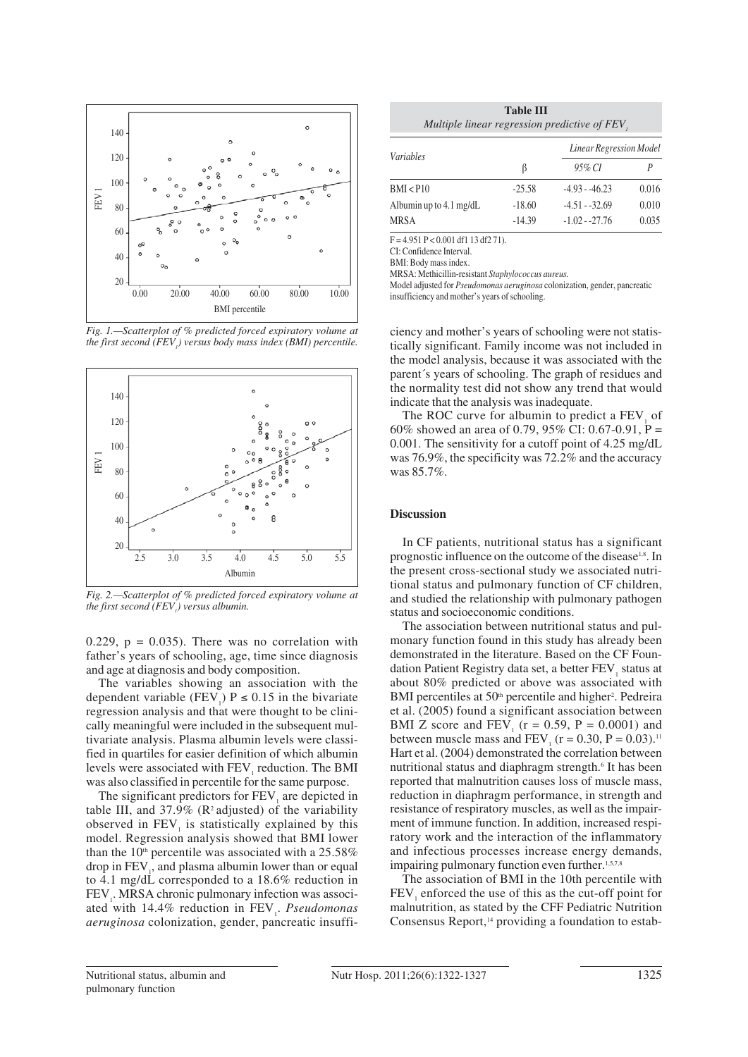

*Fig. 1.—Scatterplot of % predicted forced expiratory volume at the first second (FEV1 ) versus body mass index (BMI) percentile.*



*Fig. 2.—Scatterplot of % predicted forced expiratory volume at the first second (FEV1 ) versus albumin.*

0.229,  $p = 0.035$ ). There was no correlation with father's years of schooling, age, time since diagnosis and age at diagnosis and body composition.

The variables showing an association with the dependent variable (FEV<sub>1</sub>)  $P \le 0.15$  in the bivariate regression analysis and that were thought to be clinically meaningful were included in the subsequent multivariate analysis. Plasma albumin levels were classified in quartiles for easier definition of which albumin levels were associated with FEV<sub>1</sub> reduction. The BMI was also classified in percentile for the same purpose.

The significant predictors for FEV<sub>1</sub> are depicted in table III, and  $37.9\%$  (R<sup>2</sup> adjusted) of the variability observed in FEV<sub>1</sub> is statistically explained by this model. Regression analysis showed that BMI lower than the  $10<sup>th</sup>$  percentile was associated with a 25.58% drop in  $\text{FEV}_1$ , and plasma albumin lower than or equal to 4.1 mg/dL corresponded to a 18.6% reduction in FEV<sub>1</sub>. MRSA chronic pulmonary infection was associated with 14.4% reduction in FEV<sub>1</sub>. *Pseudomonas aeruginosa* colonization, gender, pancreatic insuffi-

| <b>Table III</b>                             |  |  |
|----------------------------------------------|--|--|
| Multiple linear regression predictive of FEV |  |  |

| <i>Variables</i>                  |          | Linear Regression Model |       |  |
|-----------------------------------|----------|-------------------------|-------|--|
|                                   | ß        | 95% CI                  |       |  |
| BMI < 10                          | $-25.58$ | $-4.93 - -46.23$        | 0.016 |  |
| Albumin up to $4.1 \text{ mg/dL}$ | $-18.60$ | $-4.51 - -32.69$        | 0.010 |  |
| <b>MRSA</b>                       | $-14.39$ | $-1.02 - 27.76$         | 0.035 |  |

 $F = 4.951 P < 0.001 df1 13 df2 71$ .

CI: Confidence Interval.

BMI: Body mass index.

MRSA: Methicillin-resistant *Staphylococcus aureus.*

Model adjusted for *Pseudomonas aeruginosa* colonization, gender, pancreatic insufficiency and mother's years of schooling.

ciency and mother's years of schooling were not statistically significant. Family income was not included in the model analysis, because it was associated with the parent´s years of schooling. The graph of residues and the normality test did not show any trend that would indicate that the analysis was inadequate.

The ROC curve for albumin to predict a FEV, of 60% showed an area of 0.79, 95% CI: 0.67-0.91, P = 0.001. The sensitivity for a cutoff point of 4.25 mg/dL was 76.9%, the specificity was 72.2% and the accuracy was 85.7%.

## **Discussion**

In CF patients, nutritional status has a significant prognostic influence on the outcome of the disease<sup>1,8</sup>. In the present cross-sectional study we associated nutritional status and pulmonary function of CF children, and studied the relationship with pulmonary pathogen status and socioeconomic conditions.

The association between nutritional status and pulmonary function found in this study has already been demonstrated in the literature. Based on the CF Foundation Patient Registry data set, a better FEV<sub>1</sub> status at about 80% predicted or above was associated with BMI percentiles at 50<sup>th</sup> percentile and higher<sup>2</sup>. Pedreira et al. (2005) found a significant association between BMI Z score and FEV<sub>1</sub> ( $r = 0.59$ ,  $P = 0.0001$ ) and between muscle mass and FEV<sub>1</sub> ( $r = 0.30$ ,  $P = 0.03$ ).<sup>11</sup> Hart et al. (2004) demonstrated the correlation between nutritional status and diaphragm strength.<sup>6</sup> It has been reported that malnutrition causes loss of muscle mass, reduction in diaphragm performance, in strength and resistance of respiratory muscles, as well as the impairment of immune function. In addition, increased respiratory work and the interaction of the inflammatory and infectious processes increase energy demands, impairing pulmonary function even further.<sup>1,5,7,8</sup>

The association of BMI in the 10th percentile with FEV, enforced the use of this as the cut-off point for malnutrition, as stated by the CFF Pediatric Nutrition Consensus Report, $<sup>14</sup>$  providing a foundation to estab-</sup>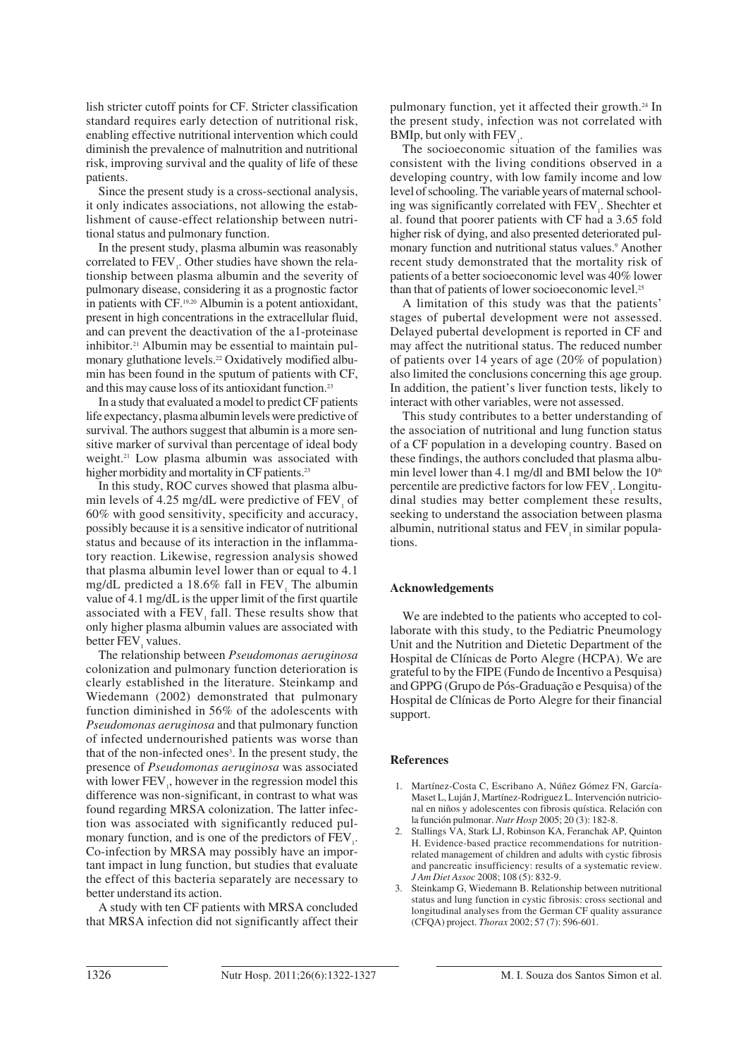lish stricter cutoff points for CF. Stricter classification standard requires early detection of nutritional risk, enabling effective nutritional intervention which could diminish the prevalence of malnutrition and nutritional risk, improving survival and the quality of life of these patients.

Since the present study is a cross-sectional analysis, it only indicates associations, not allowing the establishment of cause-effect relationship between nutritional status and pulmonary function.

In the present study, plasma albumin was reasonably correlated to  $FEV<sub>1</sub>$ . Other studies have shown the relationship between plasma albumin and the severity of pulmonary disease, considering it as a prognostic factor in patients with CF.19,20 Albumin is a potent antioxidant, present in high concentrations in the extracellular fluid, and can prevent the deactivation of the a1-proteinase inhibitor.21 Albumin may be essential to maintain pulmonary gluthatione levels.<sup>22</sup> Oxidatively modified albumin has been found in the sputum of patients with CF, and this may cause loss of its antioxidant function.<sup>23</sup>

In a study that evaluated a model to predict CF patients life expectancy, plasma albumin levels were predictive of survival. The authors suggest that albumin is a more sensitive marker of survival than percentage of ideal body weight.<sup>21</sup> Low plasma albumin was associated with higher morbidity and mortality in CF patients.<sup>23</sup>

In this study, ROC curves showed that plasma albumin levels of  $4.25 \text{ mg/dL}$  were predictive of FEV, of 60% with good sensitivity, specificity and accuracy, possibly because it is a sensitive indicator of nutritional status and because of its interaction in the inflammatory reaction. Likewise, regression analysis showed that plasma albumin level lower than or equal to 4.1 mg/dL predicted a  $18.6\%$  fall in FEV. The albumin value of 4.1 mg/dL is the upper limit of the first quartile associated with a FEV<sub>1</sub> fall. These results show that only higher plasma albumin values are associated with better FEV, values.

The relationship between *Pseudomonas aeruginosa* colonization and pulmonary function deterioration is clearly established in the literature. Steinkamp and Wiedemann (2002) demonstrated that pulmonary function diminished in 56% of the adolescents with *Pseudomonas aeruginosa* and that pulmonary function of infected undernourished patients was worse than that of the non-infected ones<sup>3</sup>. In the present study, the presence of *Pseudomonas aeruginosa* was associated with lower  $FEV<sub>1</sub>$ , however in the regression model this difference was non-significant, in contrast to what was found regarding MRSA colonization. The latter infection was associated with significantly reduced pulmonary function, and is one of the predictors of  $FEV<sub>1</sub>$ . Co-infection by MRSA may possibly have an important impact in lung function, but studies that evaluate the effect of this bacteria separately are necessary to better understand its action.

A study with ten CF patients with MRSA concluded that MRSA infection did not significantly affect their pulmonary function, yet it affected their growth.24 In the present study, infection was not correlated with BMIp, but only with  $\text{FEV}_1$ .

The socioeconomic situation of the families was consistent with the living conditions observed in a developing country, with low family income and low level of schooling. The variable years of maternal schooling was significantly correlated with  $FEV<sub>1</sub>$ . Shechter et al. found that poorer patients with CF had a 3.65 fold higher risk of dying, and also presented deteriorated pulmonary function and nutritional status values.<sup>9</sup> Another recent study demonstrated that the mortality risk of patients of a better socioeconomic level was 40% lower than that of patients of lower socioeconomic level.<sup>25</sup>

A limitation of this study was that the patients' stages of pubertal development were not assessed. Delayed pubertal development is reported in CF and may affect the nutritional status. The reduced number of patients over 14 years of age (20% of population) also limited the conclusions concerning this age group. In addition, the patient's liver function tests, likely to interact with other variables, were not assessed.

This study contributes to a better understanding of the association of nutritional and lung function status of a CF population in a developing country. Based on these findings, the authors concluded that plasma albumin level lower than 4.1 mg/dl and BMI below the  $10<sup>th</sup>$ percentile are predictive factors for low FEV<sub>1</sub>. Longitudinal studies may better complement these results, seeking to understand the association between plasma albumin, nutritional status and FEV in similar populations.

## **Acknowledgements**

We are indebted to the patients who accepted to collaborate with this study, to the Pediatric Pneumology Unit and the Nutrition and Dietetic Department of the Hospital de Clínicas de Porto Alegre (HCPA). We are grateful to by the FIPE (Fundo de Incentivo a Pesquisa) and GPPG (Grupo de Pós-Graduação e Pesquisa) of the Hospital de Clínicas de Porto Alegre for their financial support.

#### **References**

- 1. Martínez-Costa C, Escribano A, Núñez Gómez FN, García-Maset L, Luján J, Martínez-Rodriguez L. Intervención nutricional en niños y adolescentes con fibrosis quística. Relación con la función pulmonar. *Nutr Hosp* 2005; 20 (3): 182-8.
- 2. Stallings VA, Stark LJ, Robinson KA, Feranchak AP, Quinton H. Evidence-based practice recommendations for nutritionrelated management of children and adults with cystic fibrosis and pancreatic insufficiency: results of a systematic review. *J Am Diet Assoc* 2008; 108 (5): 832-9.
- 3. Steinkamp G, Wiedemann B. Relationship between nutritional status and lung function in cystic fibrosis: cross sectional and longitudinal analyses from the German CF quality assurance (CFQA) project. *Thorax* 2002; 57 (7): 596-601.